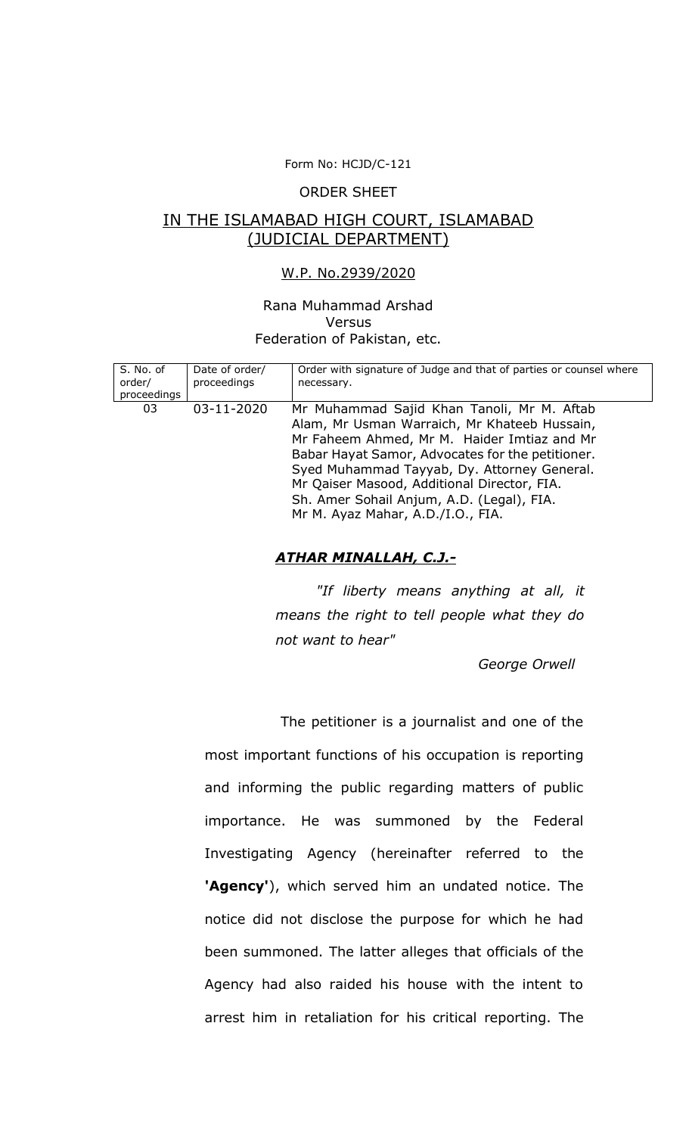## Form No: HCJD/C-121

#### ORDER SHEET

## IN THE ISLAMABAD HIGH COURT, ISLAMABAD (JUDICIAL DEPARTMENT)

#### W.P. No.2939/2020

#### Rana Muhammad Arshad Versus Federation of Pakistan, etc.

| S. No. of<br>order/<br>proceedings | Date of order/<br>proceedings | Order with signature of Judge and that of parties or counsel where<br>necessary.                                                                                                                                                                                                                                                                                              |
|------------------------------------|-------------------------------|-------------------------------------------------------------------------------------------------------------------------------------------------------------------------------------------------------------------------------------------------------------------------------------------------------------------------------------------------------------------------------|
| 03                                 | 03-11-2020                    | Mr Muhammad Sajid Khan Tanoli, Mr M. Aftab<br>Alam, Mr Usman Warraich, Mr Khateeb Hussain,<br>Mr Faheem Ahmed, Mr M. Haider Imtiaz and Mr<br>Babar Hayat Samor, Advocates for the petitioner.<br>Syed Muhammad Tayyab, Dy. Attorney General.<br>Mr Qaiser Masood, Additional Director, FIA.<br>Sh. Amer Sohail Anjum, A.D. (Legal), FIA.<br>Mr M. Ayaz Mahar, A.D./I.O., FIA. |

### *ATHAR MINALLAH, C.J.-*

*"If liberty means anything at all, it means the right to tell people what they do not want to hear"*

*George Orwell* 

The petitioner is a journalist and one of the most important functions of his occupation is reporting and informing the public regarding matters of public importance. He was summoned by the Federal Investigating Agency (hereinafter referred to the **'Agency'**), which served him an undated notice. The notice did not disclose the purpose for which he had been summoned. The latter alleges that officials of the Agency had also raided his house with the intent to arrest him in retaliation for his critical reporting. The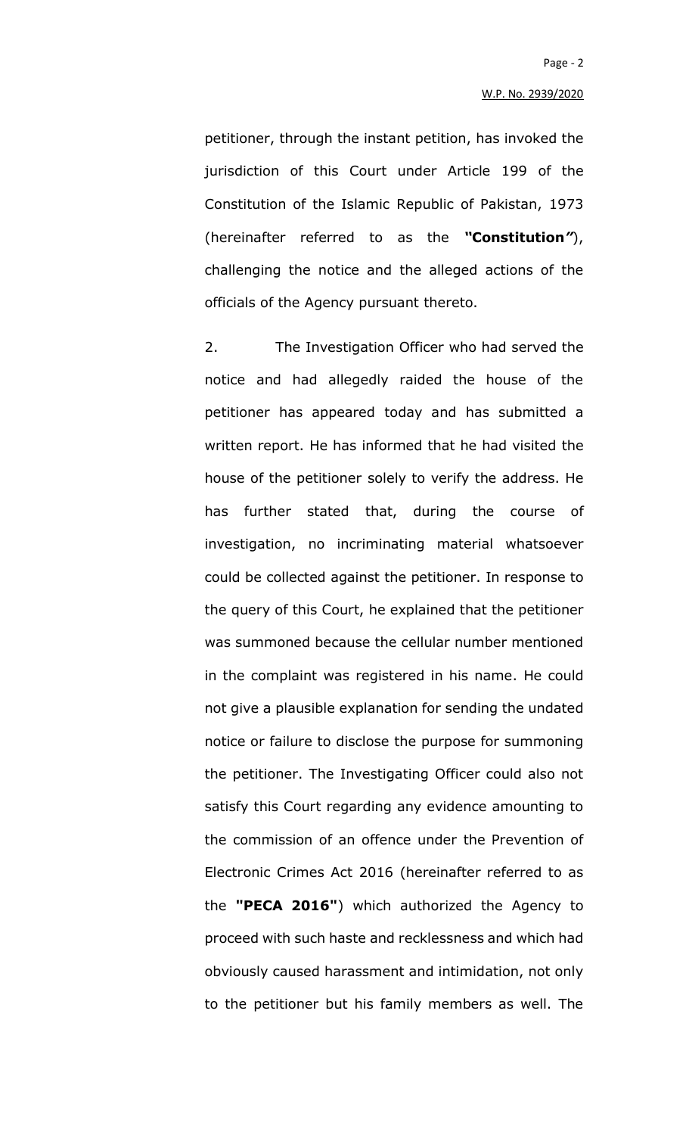petitioner, through the instant petition, has invoked the jurisdiction of this Court under Article 199 of the Constitution of the Islamic Republic of Pakistan, 1973 (hereinafter referred to as the *"***Constitution***"*), challenging the notice and the alleged actions of the officials of the Agency pursuant thereto.

2. The Investigation Officer who had served the notice and had allegedly raided the house of the petitioner has appeared today and has submitted a written report. He has informed that he had visited the house of the petitioner solely to verify the address. He has further stated that, during the course of investigation, no incriminating material whatsoever could be collected against the petitioner. In response to the query of this Court, he explained that the petitioner was summoned because the cellular number mentioned in the complaint was registered in his name. He could not give a plausible explanation for sending the undated notice or failure to disclose the purpose for summoning the petitioner. The Investigating Officer could also not satisfy this Court regarding any evidence amounting to the commission of an offence under the Prevention of Electronic Crimes Act 2016 (hereinafter referred to as the **"PECA 2016"**) which authorized the Agency to proceed with such haste and recklessness and which had obviously caused harassment and intimidation, not only to the petitioner but his family members as well. The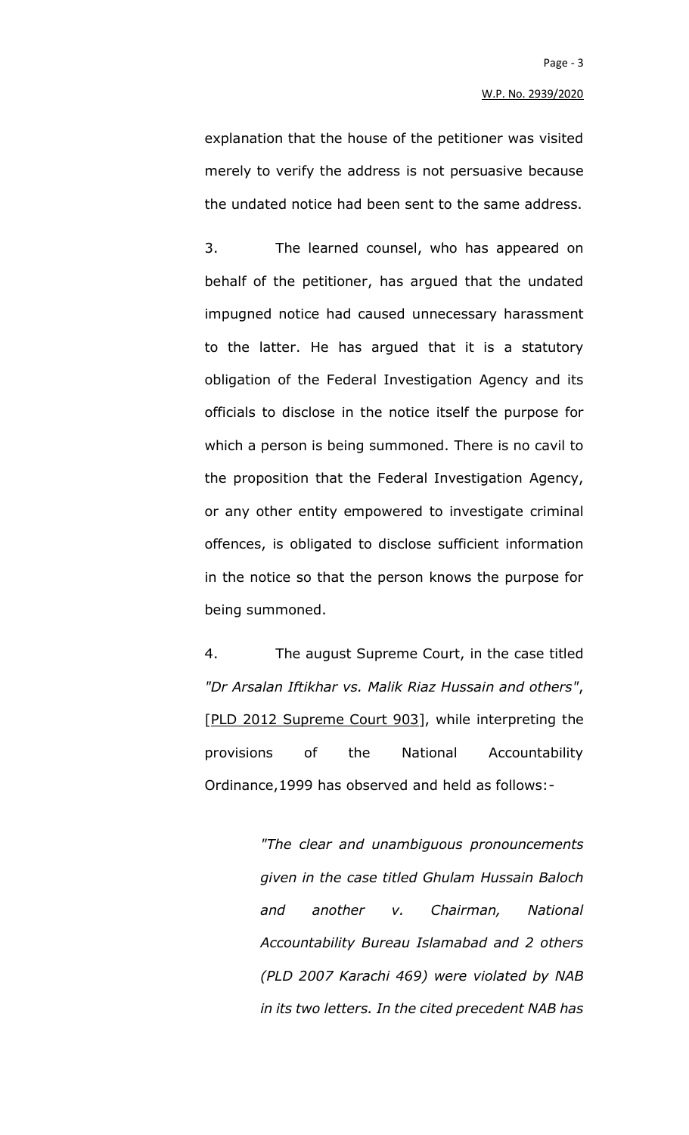explanation that the house of the petitioner was visited merely to verify the address is not persuasive because the undated notice had been sent to the same address.

3. The learned counsel, who has appeared on behalf of the petitioner, has argued that the undated impugned notice had caused unnecessary harassment to the latter. He has argued that it is a statutory obligation of the Federal Investigation Agency and its officials to disclose in the notice itself the purpose for which a person is being summoned. There is no cavil to the proposition that the Federal Investigation Agency, or any other entity empowered to investigate criminal offences, is obligated to disclose sufficient information in the notice so that the person knows the purpose for being summoned.

4. The august Supreme Court, in the case titled *"Dr Arsalan Iftikhar vs. Malik Riaz Hussain and others"*, [PLD 2012 Supreme Court 903], while interpreting the provisions of the National Accountability Ordinance,1999 has observed and held as follows:-

> *"The clear and unambiguous pronouncements given in the case titled Ghulam Hussain Baloch and another v. Chairman, National Accountability Bureau Islamabad and 2 others (PLD 2007 Karachi 469) were violated by NAB in its two letters. In the cited precedent NAB has*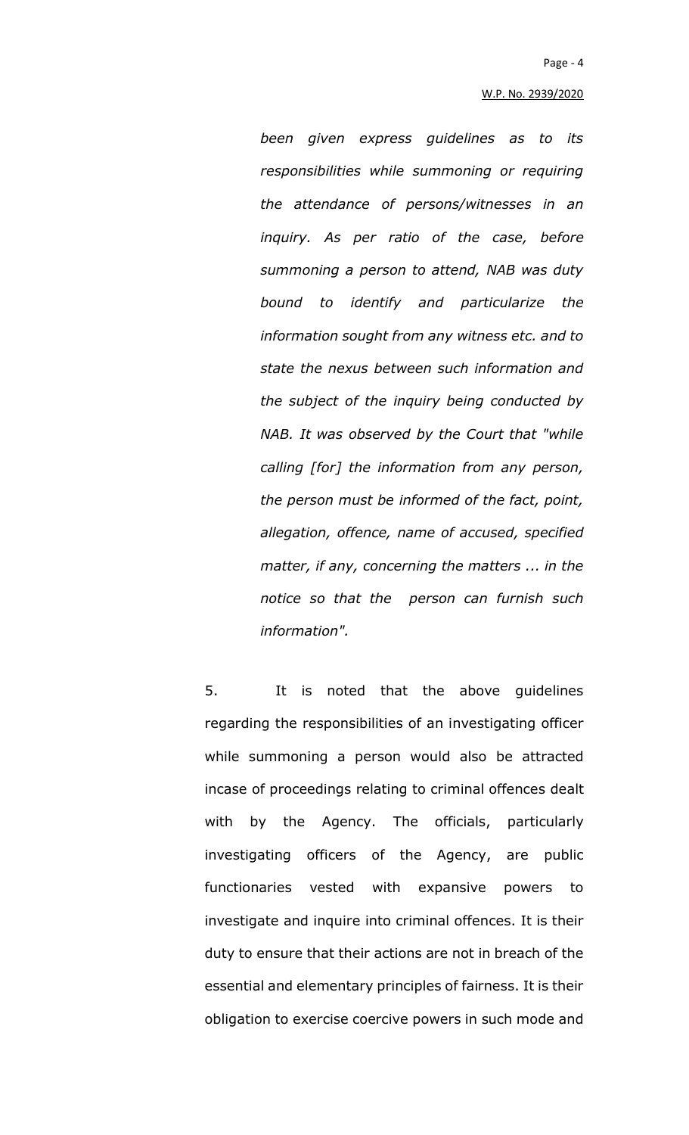*been given express guidelines as to its responsibilities while summoning or requiring the attendance of persons/witnesses in an inquiry. As per ratio of the case, before summoning a person to attend, NAB was duty bound to identify and particularize the information sought from any witness etc. and to state the nexus between such information and the subject of the inquiry being conducted by NAB. It was observed by the Court that "while calling [for] the information from any person, the person must be informed of the fact, point, allegation, offence, name of accused, specified matter, if any, concerning the matters ... in the notice so that the person can furnish such information".*

5. It is noted that the above guidelines regarding the responsibilities of an investigating officer while summoning a person would also be attracted incase of proceedings relating to criminal offences dealt with by the Agency. The officials, particularly investigating officers of the Agency, are public functionaries vested with expansive powers to investigate and inquire into criminal offences. It is their duty to ensure that their actions are not in breach of the essential and elementary principles of fairness. It is their obligation to exercise coercive powers in such mode and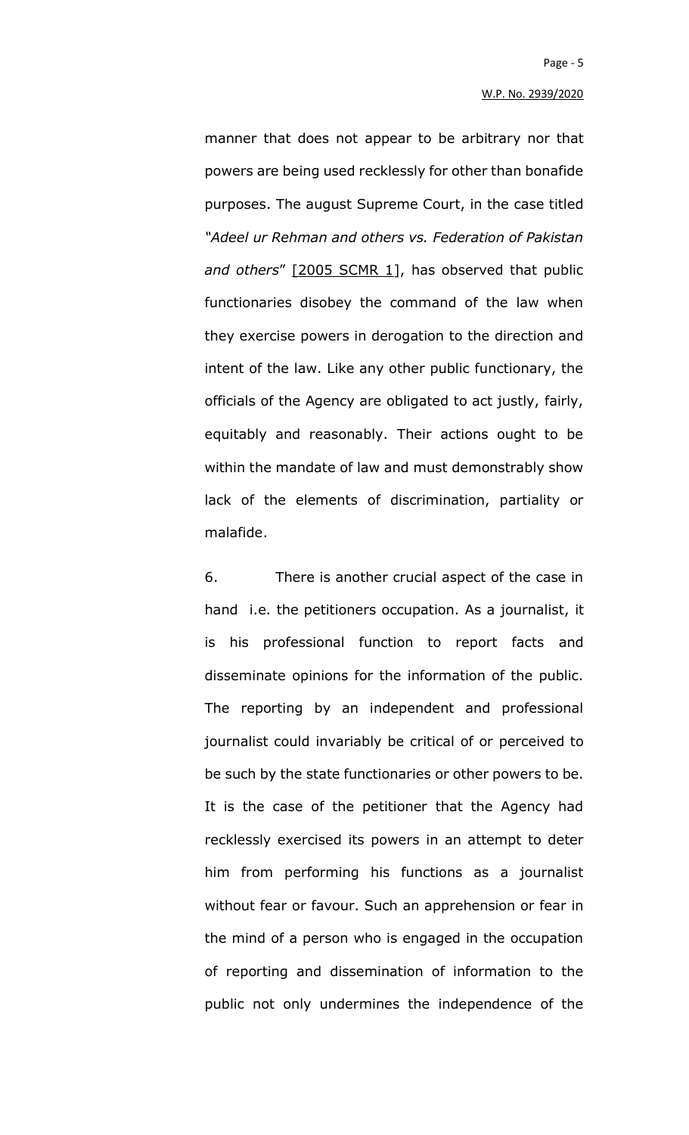manner that does not appear to be arbitrary nor that powers are being used recklessly for other than bonafide purposes. The august Supreme Court, in the case titled *"Adeel ur Rehman and others vs. Federation of Pakistan and others*" [2005 SCMR 1], has observed that public functionaries disobey the command of the law when they exercise powers in derogation to the direction and intent of the law. Like any other public functionary, the officials of the Agency are obligated to act justly, fairly, equitably and reasonably. Their actions ought to be within the mandate of law and must demonstrably show lack of the elements of discrimination, partiality or malafide.

6. There is another crucial aspect of the case in hand i.e. the petitioners occupation. As a journalist, it is his professional function to report facts and disseminate opinions for the information of the public. The reporting by an independent and professional journalist could invariably be critical of or perceived to be such by the state functionaries or other powers to be. It is the case of the petitioner that the Agency had recklessly exercised its powers in an attempt to deter him from performing his functions as a journalist without fear or favour. Such an apprehension or fear in the mind of a person who is engaged in the occupation of reporting and dissemination of information to the public not only undermines the independence of the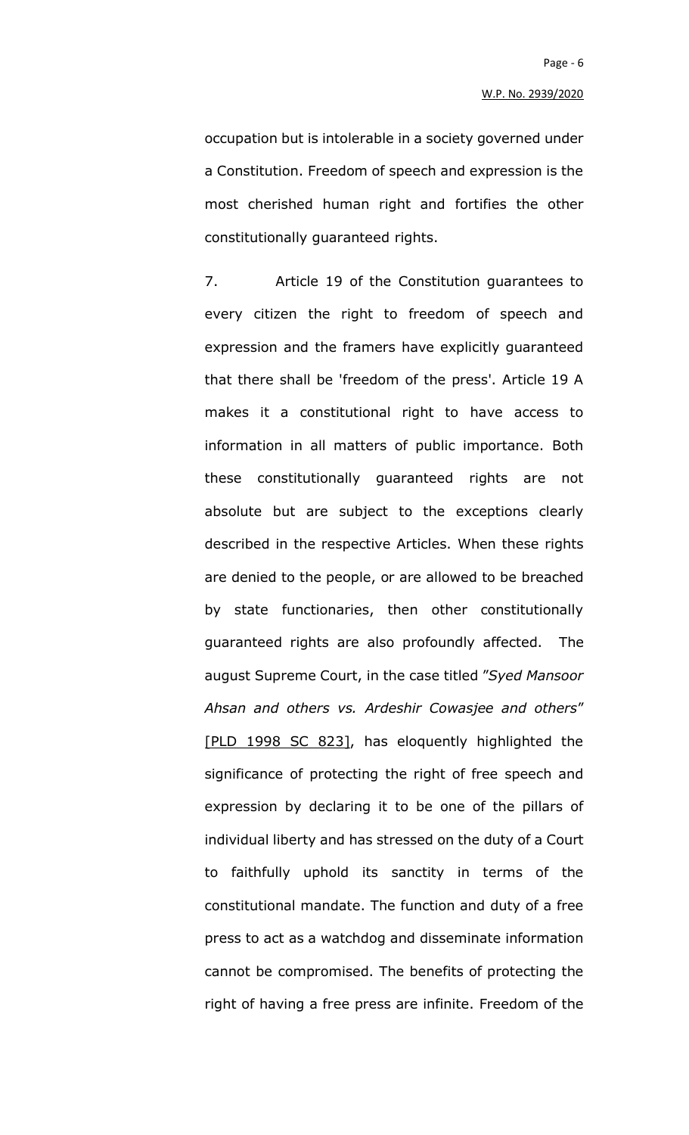occupation but is intolerable in a society governed under a Constitution. Freedom of speech and expression is the most cherished human right and fortifies the other constitutionally guaranteed rights.

7. Article 19 of the Constitution guarantees to every citizen the right to freedom of speech and expression and the framers have explicitly guaranteed that there shall be 'freedom of the press'. Article 19 A makes it a constitutional right to have access to information in all matters of public importance. Both these constitutionally guaranteed rights are not absolute but are subject to the exceptions clearly described in the respective Articles. When these rights are denied to the people, or are allowed to be breached by state functionaries, then other constitutionally guaranteed rights are also profoundly affected. The august Supreme Court, in the case titled "*Syed Mansoor Ahsan and others vs. Ardeshir Cowasjee and others*" [PLD 1998 SC 823], has eloquently highlighted the significance of protecting the right of free speech and expression by declaring it to be one of the pillars of individual liberty and has stressed on the duty of a Court to faithfully uphold its sanctity in terms of the constitutional mandate. The function and duty of a free press to act as a watchdog and disseminate information cannot be compromised. The benefits of protecting the right of having a free press are infinite. Freedom of the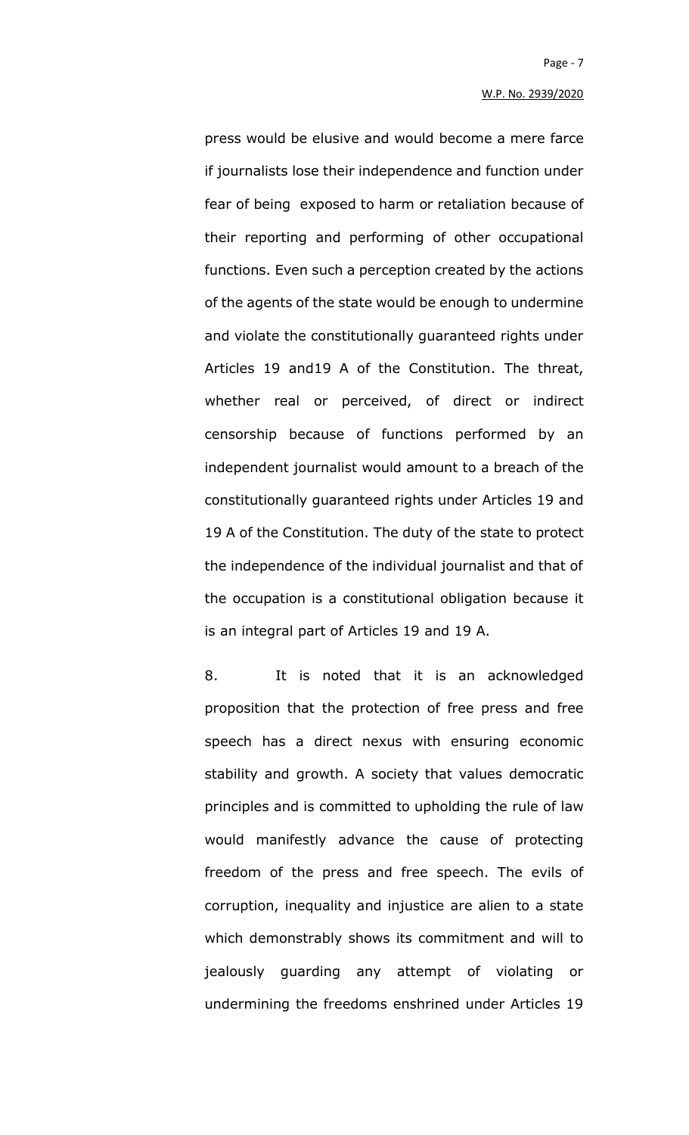press would be elusive and would become a mere farce if journalists lose their independence and function under fear of being exposed to harm or retaliation because of their reporting and performing of other occupational functions. Even such a perception created by the actions of the agents of the state would be enough to undermine and violate the constitutionally guaranteed rights under Articles 19 and19 A of the Constitution. The threat, whether real or perceived, of direct or indirect censorship because of functions performed by an independent journalist would amount to a breach of the constitutionally guaranteed rights under Articles 19 and 19 A of the Constitution. The duty of the state to protect the independence of the individual journalist and that of the occupation is a constitutional obligation because it is an integral part of Articles 19 and 19 A.

8. It is noted that it is an acknowledged proposition that the protection of free press and free speech has a direct nexus with ensuring economic stability and growth. A society that values democratic principles and is committed to upholding the rule of law would manifestly advance the cause of protecting freedom of the press and free speech. The evils of corruption, inequality and injustice are alien to a state which demonstrably shows its commitment and will to jealously guarding any attempt of violating or undermining the freedoms enshrined under Articles 19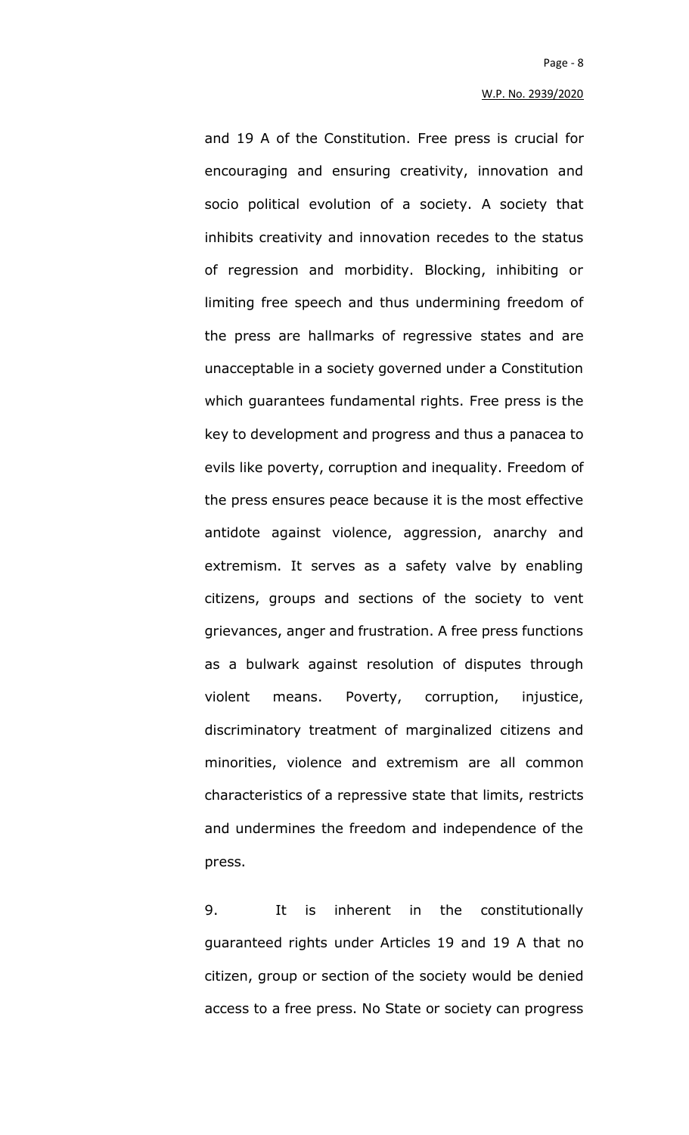and 19 A of the Constitution. Free press is crucial for encouraging and ensuring creativity, innovation and socio political evolution of a society. A society that inhibits creativity and innovation recedes to the status of regression and morbidity. Blocking, inhibiting or limiting free speech and thus undermining freedom of the press are hallmarks of regressive states and are unacceptable in a society governed under a Constitution which guarantees fundamental rights. Free press is the key to development and progress and thus a panacea to evils like poverty, corruption and inequality. Freedom of the press ensures peace because it is the most effective antidote against violence, aggression, anarchy and extremism. It serves as a safety valve by enabling citizens, groups and sections of the society to vent grievances, anger and frustration. A free press functions as a bulwark against resolution of disputes through violent means. Poverty, corruption, injustice, discriminatory treatment of marginalized citizens and minorities, violence and extremism are all common characteristics of a repressive state that limits, restricts and undermines the freedom and independence of the press.

9. It is inherent in the constitutionally guaranteed rights under Articles 19 and 19 A that no citizen, group or section of the society would be denied access to a free press. No State or society can progress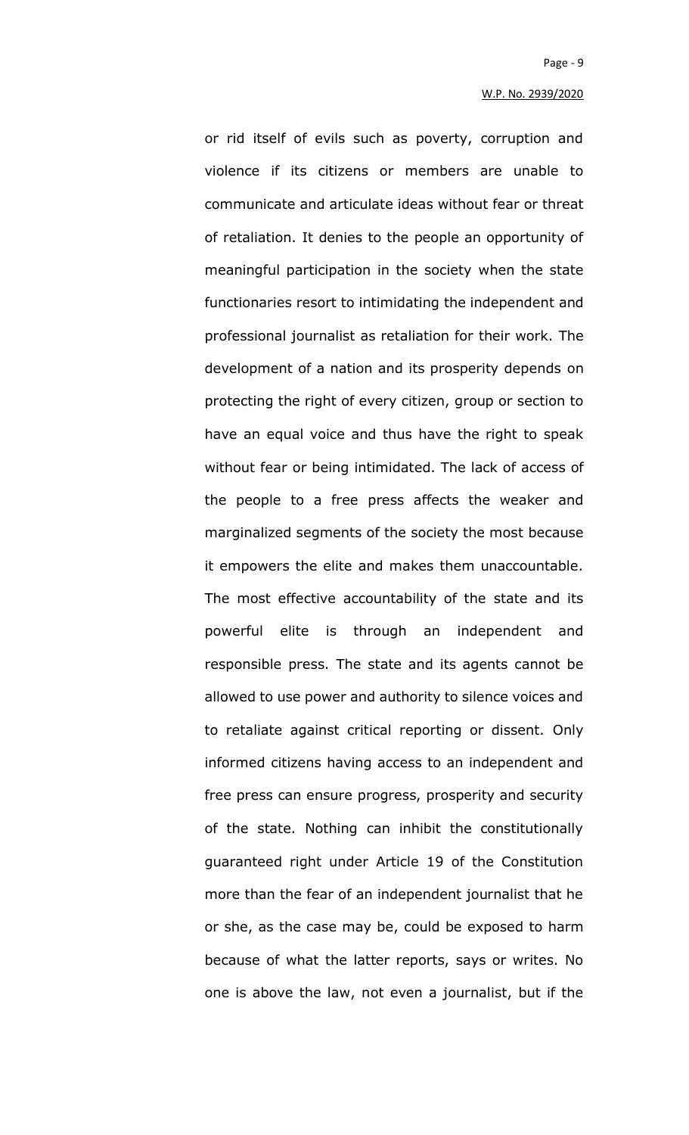or rid itself of evils such as poverty, corruption and violence if its citizens or members are unable to communicate and articulate ideas without fear or threat of retaliation. It denies to the people an opportunity of meaningful participation in the society when the state functionaries resort to intimidating the independent and professional journalist as retaliation for their work. The development of a nation and its prosperity depends on protecting the right of every citizen, group or section to have an equal voice and thus have the right to speak without fear or being intimidated. The lack of access of the people to a free press affects the weaker and marginalized segments of the society the most because it empowers the elite and makes them unaccountable. The most effective accountability of the state and its powerful elite is through an independent and responsible press. The state and its agents cannot be allowed to use power and authority to silence voices and to retaliate against critical reporting or dissent. Only informed citizens having access to an independent and free press can ensure progress, prosperity and security of the state. Nothing can inhibit the constitutionally guaranteed right under Article 19 of the Constitution more than the fear of an independent journalist that he or she, as the case may be, could be exposed to harm because of what the latter reports, says or writes. No one is above the law, not even a journalist, but if the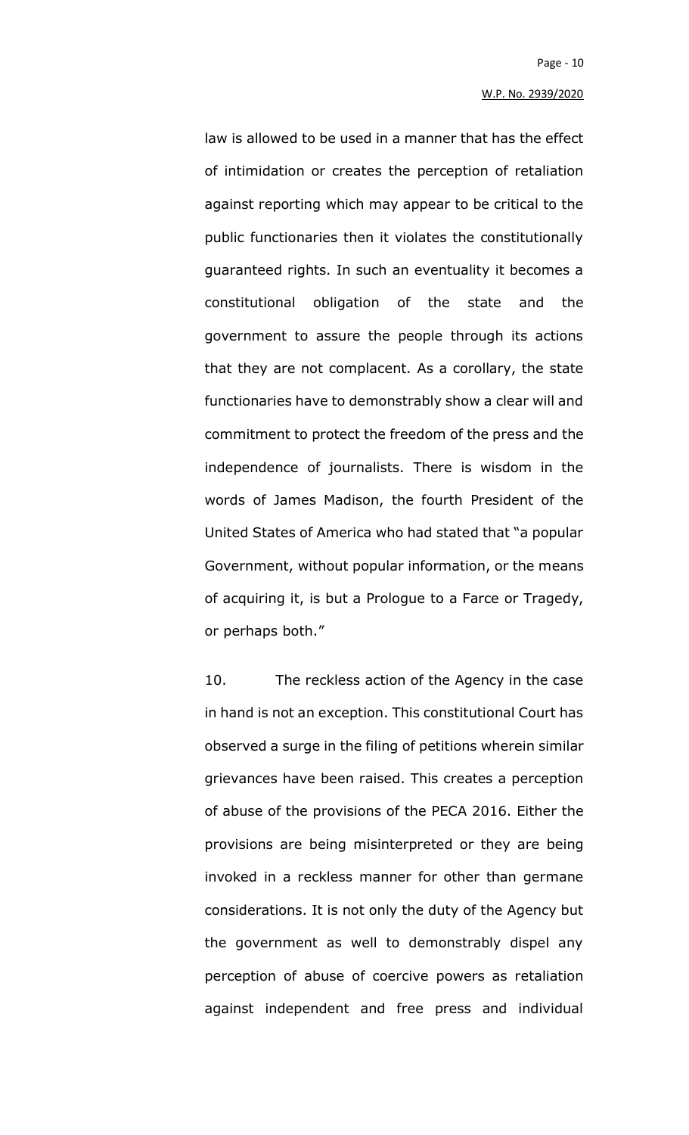law is allowed to be used in a manner that has the effect of intimidation or creates the perception of retaliation against reporting which may appear to be critical to the public functionaries then it violates the constitutionally guaranteed rights. In such an eventuality it becomes a constitutional obligation of the state and the government to assure the people through its actions that they are not complacent. As a corollary, the state functionaries have to demonstrably show a clear will and commitment to protect the freedom of the press and the independence of journalists. There is wisdom in the words of James Madison, the fourth President of the United States of America who had stated that "a popular Government, without popular information, or the means of acquiring it, is but a Prologue to a Farce or Tragedy, or perhaps both."

10. The reckless action of the Agency in the case in hand is not an exception. This constitutional Court has observed a surge in the filing of petitions wherein similar grievances have been raised. This creates a perception of abuse of the provisions of the PECA 2016. Either the provisions are being misinterpreted or they are being invoked in a reckless manner for other than germane considerations. It is not only the duty of the Agency but the government as well to demonstrably dispel any perception of abuse of coercive powers as retaliation against independent and free press and individual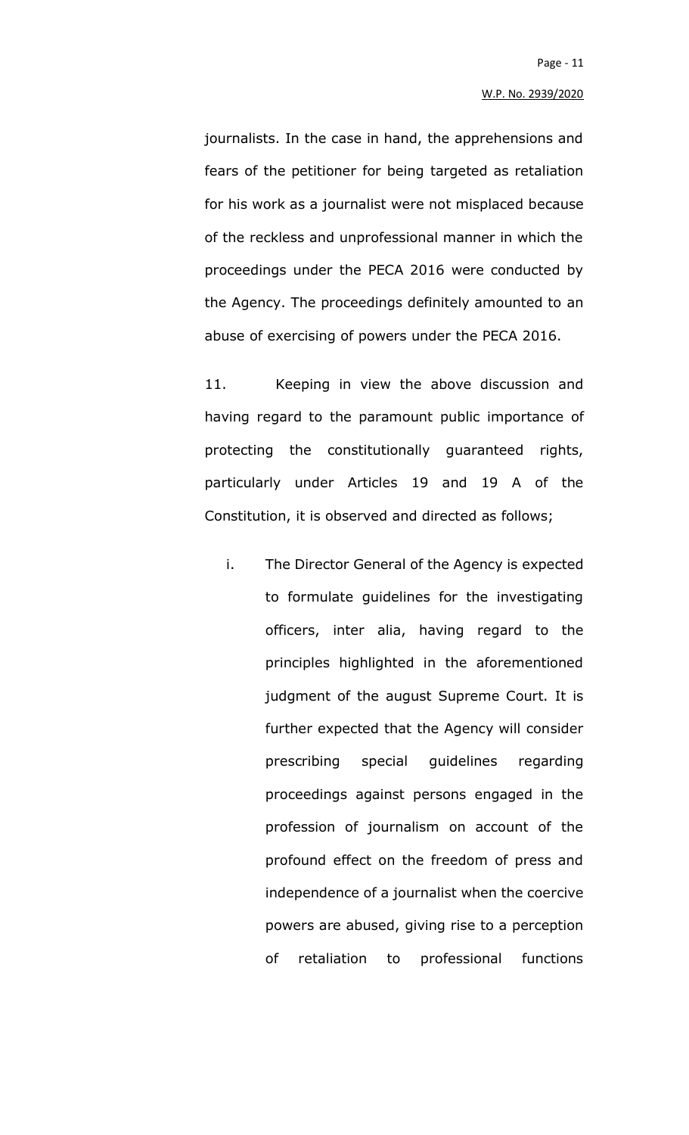journalists. In the case in hand, the apprehensions and fears of the petitioner for being targeted as retaliation for his work as a journalist were not misplaced because of the reckless and unprofessional manner in which the proceedings under the PECA 2016 were conducted by the Agency. The proceedings definitely amounted to an abuse of exercising of powers under the PECA 2016.

11. Keeping in view the above discussion and having regard to the paramount public importance of protecting the constitutionally guaranteed rights, particularly under Articles 19 and 19 A of the Constitution, it is observed and directed as follows;

i. The Director General of the Agency is expected to formulate guidelines for the investigating officers, inter alia, having regard to the principles highlighted in the aforementioned judgment of the august Supreme Court. It is further expected that the Agency will consider prescribing special guidelines regarding proceedings against persons engaged in the profession of journalism on account of the profound effect on the freedom of press and independence of a journalist when the coercive powers are abused, giving rise to a perception of retaliation to professional functions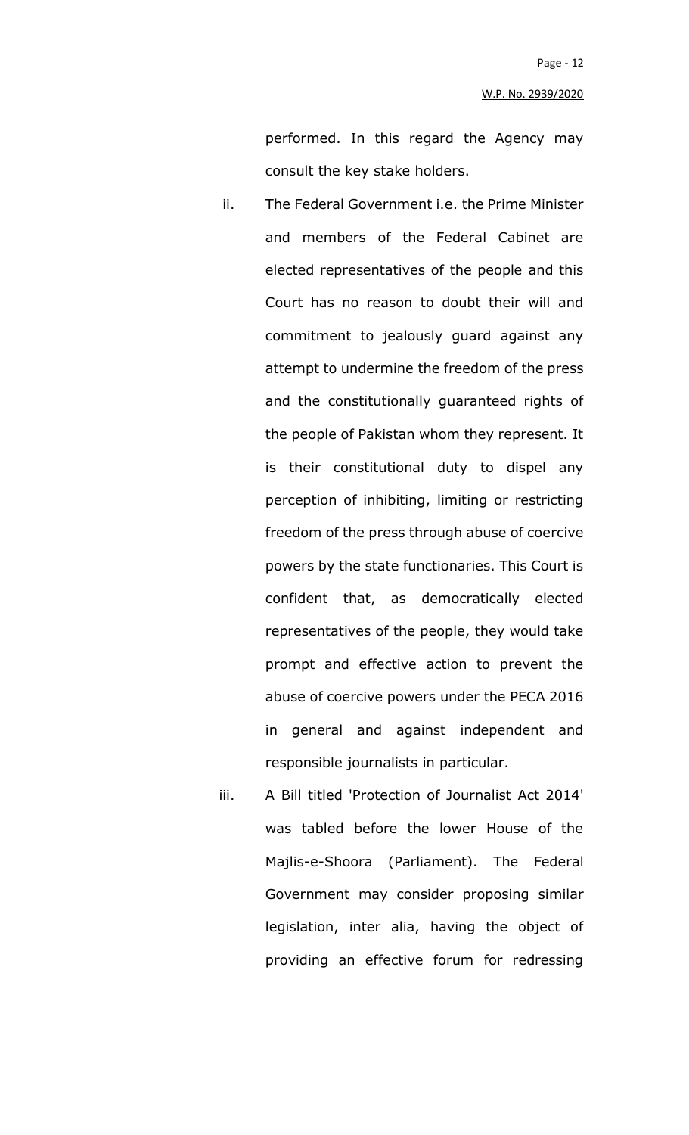performed. In this regard the Agency may consult the key stake holders.

- ii. The Federal Government i.e. the Prime Minister and members of the Federal Cabinet are elected representatives of the people and this Court has no reason to doubt their will and commitment to jealously guard against any attempt to undermine the freedom of the press and the constitutionally guaranteed rights of the people of Pakistan whom they represent. It is their constitutional duty to dispel any perception of inhibiting, limiting or restricting freedom of the press through abuse of coercive powers by the state functionaries. This Court is confident that, as democratically elected representatives of the people, they would take prompt and effective action to prevent the abuse of coercive powers under the PECA 2016 in general and against independent and responsible journalists in particular.
- iii. A Bill titled 'Protection of Journalist Act 2014' was tabled before the lower House of the Majlis-e-Shoora (Parliament). The Federal Government may consider proposing similar legislation, inter alia, having the object of providing an effective forum for redressing